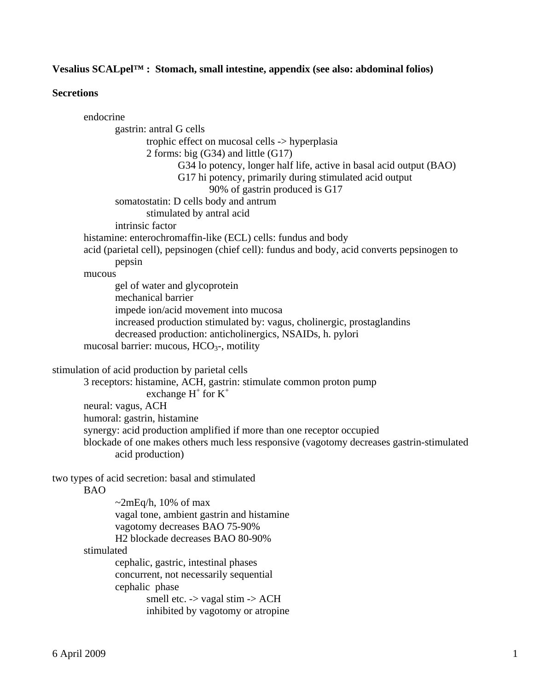# **Vesalius SCALpel™ : Stomach, small intestine, appendix (see also: abdominal folios)**

# **Secretions**

| endocrine                                                                                   |
|---------------------------------------------------------------------------------------------|
| gastrin: antral G cells                                                                     |
| trophic effect on mucosal cells -> hyperplasia                                              |
| 2 forms: big $(G34)$ and little $(G17)$                                                     |
| G34 lo potency, longer half life, active in basal acid output (BAO)                         |
| G17 hi potency, primarily during stimulated acid output                                     |
| 90% of gastrin produced is G17                                                              |
| somatostatin: D cells body and antrum                                                       |
| stimulated by antral acid                                                                   |
| intrinsic factor                                                                            |
| histamine: enterochromaffin-like (ECL) cells: fundus and body                               |
| acid (parietal cell), pepsinogen (chief cell): fundus and body, acid converts pepsinogen to |
| pepsin                                                                                      |
| mucous                                                                                      |
| gel of water and glycoprotein                                                               |
| mechanical barrier                                                                          |
| impede ion/acid movement into mucosa                                                        |
| increased production stimulated by: vagus, cholinergic, prostaglandins                      |
| decreased production: anticholinergics, NSAIDs, h. pylori                                   |
| mucosal barrier: mucous, $HCO3$ -, motility                                                 |
| stimulation of acid production by parietal cells                                            |
| 3 receptors: histamine, ACH, gastrin: stimulate common proton pump                          |
| exchange $H^+$ for $K^+$                                                                    |
| neural: vagus, ACH                                                                          |
| humoral: gastrin, histamine                                                                 |
| synergy: acid production amplified if more than one receptor occupied                       |
| blockade of one makes others much less responsive (vagotomy decreases gastrin-stimulated    |
| acid production)                                                                            |
| two types of acid secretion: basal and stimulated                                           |
| <b>BAO</b>                                                                                  |
| $\sim$ 2mEq/h, 10% of max                                                                   |
| vagal tone, ambient gastrin and histamine                                                   |
| vagotomy decreases BAO 75-90%                                                               |
| H2 blockade decreases BAO 80-90%                                                            |
| stimulated                                                                                  |
| cephalic, gastric, intestinal phases                                                        |
| concurrent, not necessarily sequential                                                      |
| cephalic phase                                                                              |
| smell etc. -> vagal stim -> ACH                                                             |
| inhibited by vagotomy or atropine                                                           |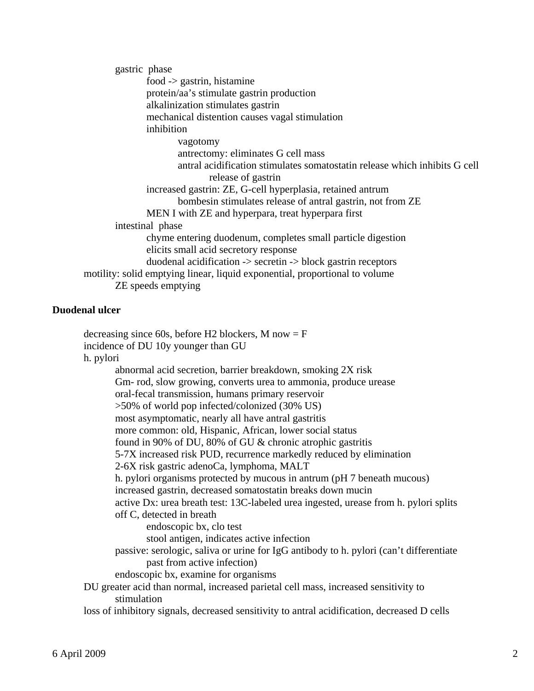gastric phase food -> gastrin, histamine protein/aa's stimulate gastrin production alkalinization stimulates gastrin mechanical distention causes vagal stimulation inhibition vagotomy antrectomy: eliminates G cell mass antral acidification stimulates somatostatin release which inhibits G cell release of gastrin increased gastrin: ZE, G-cell hyperplasia, retained antrum bombesin stimulates release of antral gastrin, not from ZE MEN I with ZE and hyperpara, treat hyperpara first intestinal phase chyme entering duodenum, completes small particle digestion elicits small acid secretory response duodenal acidification -> secretin -> block gastrin receptors motility: solid emptying linear, liquid exponential, proportional to volume ZE speeds emptying

# **Duodenal ulcer**

|           | decreasing since 60s, before H2 blockers, M now $=$ F<br>incidence of DU 10y younger than GU       |
|-----------|----------------------------------------------------------------------------------------------------|
| h. pylori |                                                                                                    |
|           | abnormal acid secretion, barrier breakdown, smoking 2X risk                                        |
|           | Gm- rod, slow growing, converts urea to ammonia, produce urease                                    |
|           | oral-fecal transmission, humans primary reservoir                                                  |
|           | >50% of world pop infected/colonized (30% US)                                                      |
|           | most asymptomatic, nearly all have antral gastritis                                                |
|           | more common: old, Hispanic, African, lower social status                                           |
|           | found in 90% of DU, 80% of GU & chronic atrophic gastritis                                         |
|           | 5-7X increased risk PUD, recurrence markedly reduced by elimination                                |
|           | 2-6X risk gastric adenoCa, lymphoma, MALT                                                          |
|           | h. pylori organisms protected by mucous in antrum (pH 7 beneath mucous)                            |
|           | increased gastrin, decreased somatostatin breaks down mucin                                        |
|           | active Dx: urea breath test: 13C-labeled urea ingested, urease from h. pylori splits               |
|           | off C, detected in breath                                                                          |
|           | endoscopic bx, clo test                                                                            |
|           | stool antigen, indicates active infection                                                          |
|           | passive: serologic, saliva or urine for IgG antibody to h. pylori (can't differentiate             |
|           | past from active infection)                                                                        |
|           | endoscopic bx, examine for organisms                                                               |
|           | DU greater acid than normal, increased parietal cell mass, increased sensitivity to<br>stimulation |
|           | loss of inhibitory signals, decreased sensitivity to antral acidification, decreased D cells       |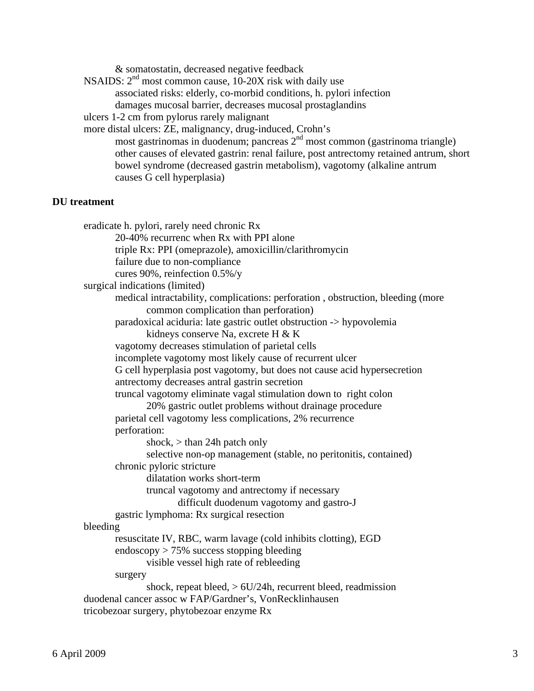NSAIDS:  $2<sup>nd</sup>$  most common cause, 10-20X risk with daily use associated risks: elderly, co-morbid conditions, h. pylori infection damages mucosal barrier, decreases mucosal prostaglandins ulcers 1-2 cm from pylorus rarely malignant more distal ulcers: ZE, malignancy, drug-induced, Crohn's most gastrinomas in duodenum; pancreas  $2<sup>nd</sup>$  most common (gastrinoma triangle) other causes of elevated gastrin: renal failure, post antrectomy retained antrum, short bowel syndrome (decreased gastrin metabolism), vagotomy (alkaline antrum causes G cell hyperplasia) **DU treatment**  eradicate h. pylori, rarely need chronic Rx 20-40% recurrenc when Rx with PPI alone triple Rx: PPI (omeprazole), amoxicillin/clarithromycin failure due to non-compliance cures 90%, reinfection 0.5%/y surgical indications (limited) medical intractability, complications: perforation , obstruction, bleeding (more common complication than perforation) paradoxical aciduria: late gastric outlet obstruction -> hypovolemia kidneys conserve Na, excrete H & K vagotomy decreases stimulation of parietal cells incomplete vagotomy most likely cause of recurrent ulcer G cell hyperplasia post vagotomy, but does not cause acid hypersecretion antrectomy decreases antral gastrin secretion truncal vagotomy eliminate vagal stimulation down to right colon 20% gastric outlet problems without drainage procedure parietal cell vagotomy less complications, 2% recurrence perforation: shock,  $>$  than 24h patch only selective non-op management (stable, no peritonitis, contained) chronic pyloric stricture dilatation works short-term truncal vagotomy and antrectomy if necessary difficult duodenum vagotomy and gastro-J gastric lymphoma: Rx surgical resection bleeding resuscitate IV, RBC, warm lavage (cold inhibits clotting), EGD endoscopy > 75% success stopping bleeding visible vessel high rate of rebleeding surgery shock, repeat bleed,  $> 6U/24h$ , recurrent bleed, readmission duodenal cancer assoc w FAP/Gardner's, VonRecklinhausen tricobezoar surgery, phytobezoar enzyme Rx

& somatostatin, decreased negative feedback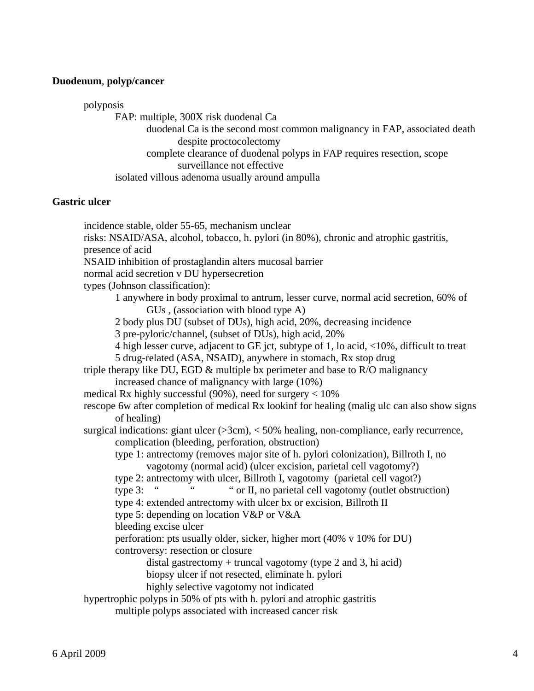#### **Duodenum**, **polyp/cancer**

polyposis

FAP: multiple, 300X risk duodenal Ca

 duodenal Ca is the second most common malignancy in FAP, associated death despite proctocolectomy

 complete clearance of duodenal polyps in FAP requires resection, scope surveillance not effective

isolated villous adenoma usually around ampulla

#### **Gastric ulcer**

 incidence stable, older 55-65, mechanism unclear risks: NSAID/ASA, alcohol, tobacco, h. pylori (in 80%), chronic and atrophic gastritis, presence of acid NSAID inhibition of prostaglandin alters mucosal barrier normal acid secretion v DU hypersecretion types (Johnson classification): 1 anywhere in body proximal to antrum, lesser curve, normal acid secretion, 60% of GUs , (association with blood type A) 2 body plus DU (subset of DUs), high acid, 20%, decreasing incidence 3 pre-pyloric/channel, (subset of DUs), high acid, 20% 4 high lesser curve, adjacent to GE jct, subtype of 1, lo acid, <10%, difficult to treat 5 drug-related (ASA, NSAID), anywhere in stomach, Rx stop drug triple therapy like DU, EGD  $\&$  multiple bx perimeter and base to R/O malignancy increased chance of malignancy with large (10%) medical Rx highly successful (90%), need for surgery  $< 10\%$  rescope 6w after completion of medical Rx lookinf for healing (malig ulc can also show signs of healing) surgical indications: giant ulcer  $($ >3cm $)$ , < 50% healing, non-compliance, early recurrence, complication (bleeding, perforation, obstruction) type 1: antrectomy (removes major site of h. pylori colonization), Billroth I, no vagotomy (normal acid) (ulcer excision, parietal cell vagotomy?) type 2: antrectomy with ulcer, Billroth I, vagotomy (parietal cell vagot?) type 3: " " or II, no parietal cell vagotomy (outlet obstruction) type 4: extended antrectomy with ulcer bx or excision, Billroth II type 5: depending on location V&P or V&A bleeding excise ulcer perforation: pts usually older, sicker, higher mort (40% v 10% for DU) controversy: resection or closure distal gastrectomy  $+$  truncal vagotomy (type 2 and 3, hi acid) biopsy ulcer if not resected, eliminate h. pylori highly selective vagotomy not indicated hypertrophic polyps in 50% of pts with h. pylori and atrophic gastritis multiple polyps associated with increased cancer risk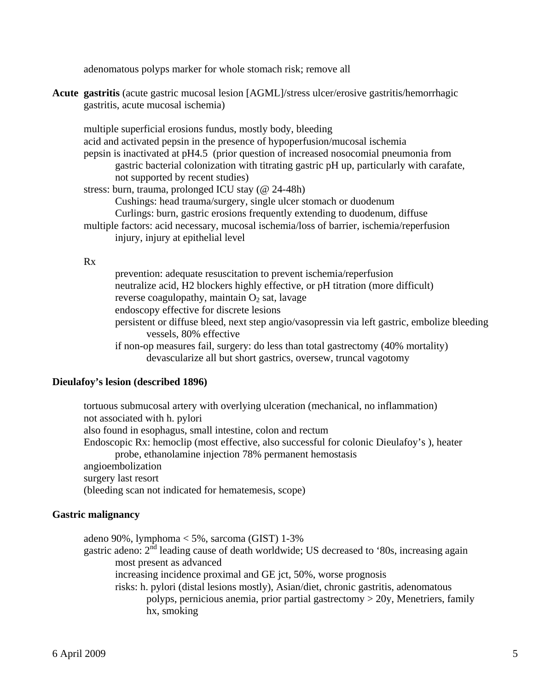adenomatous polyps marker for whole stomach risk; remove all

**Acute gastritis** (acute gastric mucosal lesion [AGML]/stress ulcer/erosive gastritis/hemorrhagic gastritis, acute mucosal ischemia)

 multiple superficial erosions fundus, mostly body, bleeding acid and activated pepsin in the presence of hypoperfusion/mucosal ischemia pepsin is inactivated at pH4.5 (prior question of increased nosocomial pneumonia from gastric bacterial colonization with titrating gastric pH up, particularly with carafate, not supported by recent studies) stress: burn, trauma, prolonged ICU stay (@ 24-48h) Cushings: head trauma/surgery, single ulcer stomach or duodenum Curlings: burn, gastric erosions frequently extending to duodenum, diffuse multiple factors: acid necessary, mucosal ischemia/loss of barrier, ischemia/reperfusion injury, injury at epithelial level

#### Rx

 prevention: adequate resuscitation to prevent ischemia/reperfusion neutralize acid, H2 blockers highly effective, or pH titration (more difficult) reverse coagulopathy, maintain  $O_2$  sat, lavage endoscopy effective for discrete lesions persistent or diffuse bleed, next step angio/vasopressin via left gastric, embolize bleeding vessels, 80% effective if non-op measures fail, surgery: do less than total gastrectomy (40% mortality) devascularize all but short gastrics, oversew, truncal vagotomy

# **Dieulafoy's lesion (described 1896)**

 tortuous submucosal artery with overlying ulceration (mechanical, no inflammation) not associated with h. pylori also found in esophagus, small intestine, colon and rectum Endoscopic Rx: hemoclip (most effective, also successful for colonic Dieulafoy's ), heater probe, ethanolamine injection 78% permanent hemostasis angioembolization surgery last resort (bleeding scan not indicated for hematemesis, scope)

# **Gastric malignancy**

adeno 90%, lymphoma < 5%, sarcoma (GIST) 1-3%

gastric adeno:  $2<sup>nd</sup>$  leading cause of death worldwide; US decreased to '80s, increasing again most present as advanced

increasing incidence proximal and GE jct, 50%, worse prognosis

 risks: h. pylori (distal lesions mostly), Asian/diet, chronic gastritis, adenomatous polyps, pernicious anemia, prior partial gastrectomy > 20y, Menetriers, family hx, smoking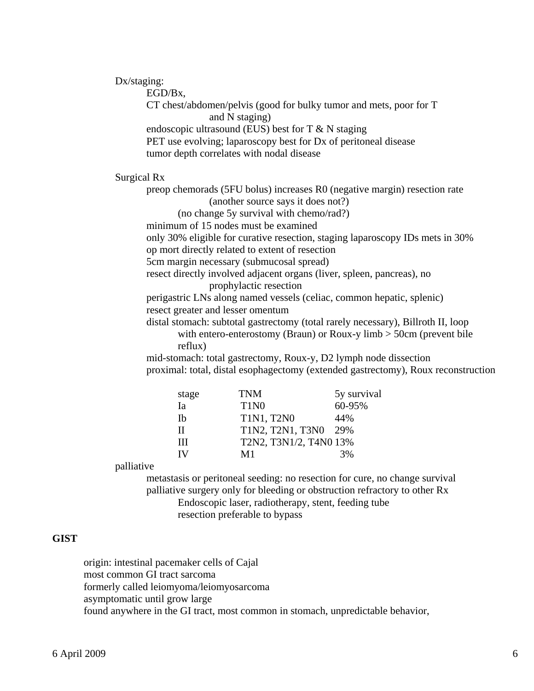Dx/staging:

EGD/Bx,

 CT chest/abdomen/pelvis (good for bulky tumor and mets, poor for T and N staging) endoscopic ultrasound (EUS) best for T & N staging

PET use evolving; laparoscopy best for Dx of peritoneal disease

tumor depth correlates with nodal disease

Surgical Rx

 preop chemorads (5FU bolus) increases R0 (negative margin) resection rate (another source says it does not?)

(no change 5y survival with chemo/rad?)

minimum of 15 nodes must be examined

only 30% eligible for curative resection, staging laparoscopy IDs mets in 30%

op mort directly related to extent of resection

5cm margin necessary (submucosal spread)

 resect directly involved adjacent organs (liver, spleen, pancreas), no prophylactic resection

 perigastric LNs along named vessels (celiac, common hepatic, splenic) resect greater and lesser omentum

 distal stomach: subtotal gastrectomy (total rarely necessary), Billroth II, loop with entero-enterostomy (Braun) or Roux-y limb > 50cm (prevent bile reflux)

 mid-stomach: total gastrectomy, Roux-y, D2 lymph node dissection proximal: total, distal esophagectomy (extended gastrectomy), Roux reconstruction

| stage | <b>TNM</b>                    | 5y survival |
|-------|-------------------------------|-------------|
| Ia    | T <sub>1</sub> N <sub>0</sub> | 60-95%      |
| Ib    | T1N1, T2N0                    | 44%         |
| Н     | T1N2, T2N1, T3N0 29%          |             |
| Ш     | T2N2, T3N1/2, T4N0 13%        |             |
|       | M1                            | 3%          |

palliative

 metastasis or peritoneal seeding: no resection for cure, no change survival palliative surgery only for bleeding or obstruction refractory to other Rx Endoscopic laser, radiotherapy, stent, feeding tube resection preferable to bypass

#### **GIST**

 origin: intestinal pacemaker cells of Cajal most common GI tract sarcoma formerly called leiomyoma/leiomyosarcoma asymptomatic until grow large found anywhere in the GI tract, most common in stomach, unpredictable behavior,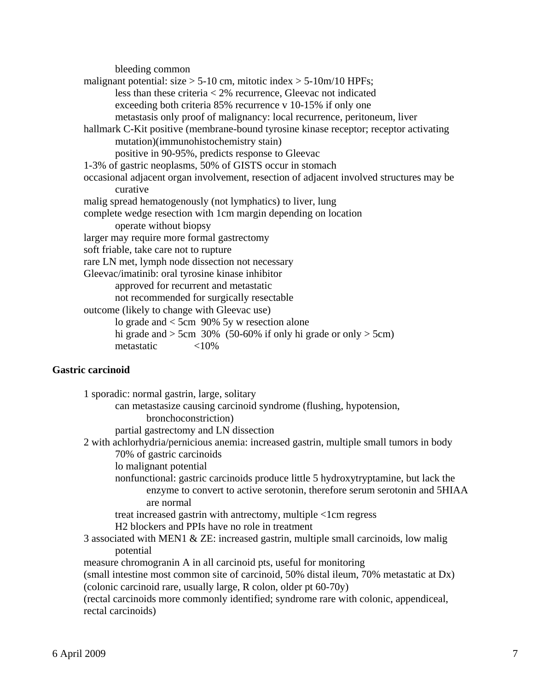bleeding common malignant potential: size  $> 5{\text -}10$  cm, mitotic index  $> 5{\text -}10$ m/10 HPFs; less than these criteria < 2% recurrence, Gleevac not indicated exceeding both criteria 85% recurrence v 10-15% if only one metastasis only proof of malignancy: local recurrence, peritoneum, liver hallmark C-Kit positive (membrane-bound tyrosine kinase receptor; receptor activating mutation)(immunohistochemistry stain) positive in 90-95%, predicts response to Gleevac 1-3% of gastric neoplasms, 50% of GISTS occur in stomach occasional adjacent organ involvement, resection of adjacent involved structures may be curative malig spread hematogenously (not lymphatics) to liver, lung complete wedge resection with 1cm margin depending on location operate without biopsy larger may require more formal gastrectomy soft friable, take care not to rupture rare LN met, lymph node dissection not necessary Gleevac/imatinib: oral tyrosine kinase inhibitor approved for recurrent and metastatic not recommended for surgically resectable outcome (likely to change with Gleevac use) lo grade and < 5cm 90% 5y w resection alone hi grade and  $>$  5cm 30% (50-60% if only hi grade or only  $>$  5cm) metastatic <10%

# **Gastric carcinoid**

| 1 sporadic: normal gastrin, large, solitary                                             |
|-----------------------------------------------------------------------------------------|
| can metastasize causing carcinoid syndrome (flushing, hypotension,                      |
| bronchoconstriction)                                                                    |
| partial gastrectomy and LN dissection                                                   |
| 2 with achlorhydria/pernicious anemia: increased gastrin, multiple small tumors in body |
| 70% of gastric carcinoids                                                               |
| lo malignant potential                                                                  |
| nonfunctional: gastric carcinoids produce little 5 hydroxytryptamine, but lack the      |
| enzyme to convert to active serotonin, therefore serum serotonin and 5HIAA              |
| are normal                                                                              |
| treat increased gastrin with antrectomy, multiple <1cm regress                          |
| H <sub>2</sub> blockers and PPIs have no role in treatment                              |
| 3 associated with MEN1 & ZE: increased gastrin, multiple small carcinoids, low malig    |
| potential                                                                               |
| measure chromogram A in all carcinoid pts, useful for monitoring                        |
| (small intestine most common site of carcinoid, 50% distal ileum, 70% metastatic at Dx) |
| (colonic carcinoid rare, usually large, R colon, older pt 60-70y)                       |
| (rectal carcinoids more commonly identified; syndrome rare with colonic, appendiceal,   |
| rectal carcinoids)                                                                      |
|                                                                                         |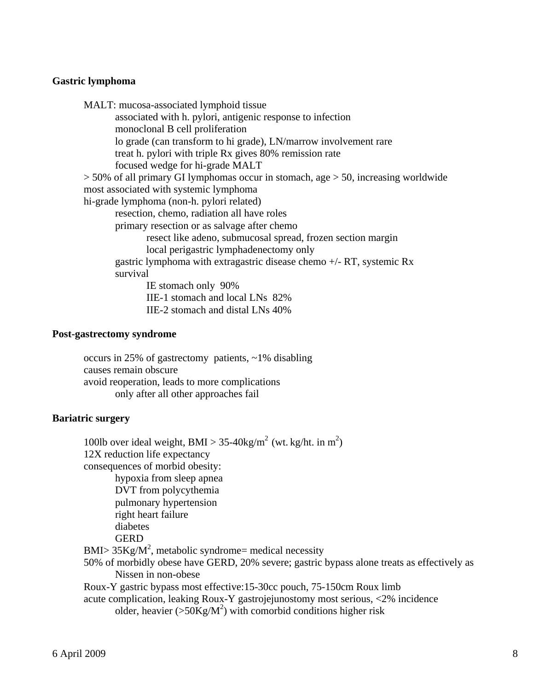#### **Gastric lymphoma**

| MALT: mucosa-associated lymphoid tissue                                                |
|----------------------------------------------------------------------------------------|
| associated with h. pylori, antigenic response to infection                             |
| monoclonal B cell proliferation                                                        |
| lo grade (can transform to hi grade), LN/marrow involvement rare                       |
| treat h. pylori with triple Rx gives 80% remission rate                                |
| focused wedge for hi-grade MALT                                                        |
| $>$ 50% of all primary GI lymphomas occur in stomach, age $>$ 50, increasing worldwide |
| most associated with systemic lymphoma                                                 |
| hi-grade lymphoma (non-h. pylori related)                                              |
| resection, chemo, radiation all have roles                                             |
| primary resection or as salvage after chemo                                            |
| resect like adeno, submucosal spread, frozen section margin                            |
| local perigastric lymphadenectomy only                                                 |
| gastric lymphoma with extragastric disease chemo $+/- RT$ , systemic Rx                |
| survival                                                                               |
| IE stomach only 90%                                                                    |
| IIE-1 stomach and local LNs 82%                                                        |
| IIE-2 stomach and distal LNs 40%                                                       |
|                                                                                        |

#### **Post-gastrectomy syndrome**

 occurs in 25% of gastrectomy patients, ~1% disabling causes remain obscure avoid reoperation, leads to more complications only after all other approaches fail

# **Bariatric surgery**

100lb over ideal weight, BMI >  $35-40$ kg/m<sup>2</sup> (wt. kg/ht. in m<sup>2</sup>) 12X reduction life expectancy consequences of morbid obesity: hypoxia from sleep apnea DVT from polycythemia pulmonary hypertension right heart failure diabetes **GERD**  $BMI > 35Kg/M<sup>2</sup>$ , metabolic syndrome= medical necessity 50% of morbidly obese have GERD, 20% severe; gastric bypass alone treats as effectively as Nissen in non-obese Roux-Y gastric bypass most effective:15-30cc pouch, 75-150cm Roux limb acute complication, leaking Roux-Y gastrojejunostomy most serious, <2% incidence older, heavier ( $>50$ Kg/M<sup>2</sup>) with comorbid conditions higher risk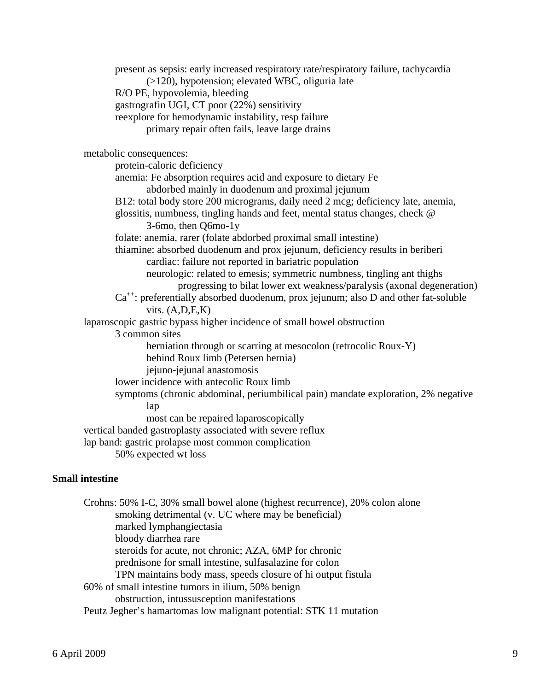present as sepsis: early increased respiratory rate/respiratory failure, tachycardia (>120), hypotension; elevated WBC, oliguria late R/O PE, hypovolemia, bleeding gastrografin UGI, CT poor (22%) sensitivity reexplore for hemodynamic instability, resp failure primary repair often fails, leave large drains metabolic consequences: protein-caloric deficiency anemia: Fe absorption requires acid and exposure to dietary Fe abdorbed mainly in duodenum and proximal jejunum B12: total body store 200 micrograms, daily need 2 mcg; deficiency late, anemia, glossitis, numbness, tingling hands and feet, mental status changes, check @ 3-6mo, then Q6mo-1y folate: anemia, rarer (folate abdorbed proximal small intestine) thiamine: absorbed duodenum and prox jejunum, deficiency results in beriberi cardiac: failure not reported in bariatric population neurologic: related to emesis; symmetric numbness, tingling ant thighs progressing to bilat lower ext weakness/paralysis (axonal degeneration)  $Ca^{++}$ : preferentially absorbed duodenum, prox jejunum; also D and other fat-soluble vits.  $(A, D, E, K)$  laparoscopic gastric bypass higher incidence of small bowel obstruction 3 common sites herniation through or scarring at mesocolon (retrocolic Roux-Y) behind Roux limb (Petersen hernia) jejuno-jejunal anastomosis lower incidence with antecolic Roux limb symptoms (chronic abdominal, periumbilical pain) mandate exploration, 2% negative lap most can be repaired laparoscopically vertical banded gastroplasty associated with severe reflux lap band: gastric prolapse most common complication 50% expected wt loss

# **Small intestine**

 Crohns: 50% I-C, 30% small bowel alone (highest recurrence), 20% colon alone smoking detrimental (v. UC where may be beneficial) marked lymphangiectasia bloody diarrhea rare steroids for acute, not chronic; AZA, 6MP for chronic prednisone for small intestine, sulfasalazine for colon TPN maintains body mass, speeds closure of hi output fistula 60% of small intestine tumors in ilium, 50% benign obstruction, intussusception manifestations Peutz Jegher's hamartomas low malignant potential: STK 11 mutation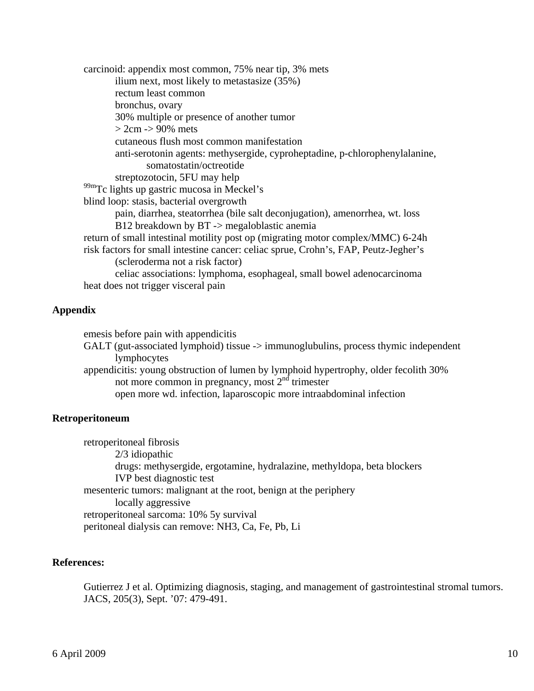carcinoid: appendix most common, 75% near tip, 3% mets ilium next, most likely to metastasize (35%) rectum least common bronchus, ovary 30% multiple or presence of another tumor  $> 2cm$  -> 90% mets cutaneous flush most common manifestation anti-serotonin agents: methysergide, cyproheptadine, p-chlorophenylalanine, somatostatin/octreotide streptozotocin, 5FU may help <sup>99m</sup>Tc lights up gastric mucosa in Meckel's blind loop: stasis, bacterial overgrowth pain, diarrhea, steatorrhea (bile salt deconjugation), amenorrhea, wt. loss B12 breakdown by BT -> megaloblastic anemia return of small intestinal motility post op (migrating motor complex/MMC) 6-24h risk factors for small intestine cancer: celiac sprue, Crohn's, FAP, Peutz-Jegher's (scleroderma not a risk factor) celiac associations: lymphoma, esophageal, small bowel adenocarcinoma heat does not trigger visceral pain

#### **Appendix**

emesis before pain with appendicitis

GALT (gut-associated lymphoid) tissue -> immunoglubulins, process thymic independent lymphocytes

 appendicitis: young obstruction of lumen by lymphoid hypertrophy, older fecolith 30% not more common in pregnancy, most  $2<sup>nd</sup>$  trimester open more wd. infection, laparoscopic more intraabdominal infection

#### **Retroperitoneum**

 retroperitoneal fibrosis 2/3 idiopathic drugs: methysergide, ergotamine, hydralazine, methyldopa, beta blockers IVP best diagnostic test mesenteric tumors: malignant at the root, benign at the periphery locally aggressive retroperitoneal sarcoma: 10% 5y survival peritoneal dialysis can remove: NH3, Ca, Fe, Pb, Li

#### **References:**

Gutierrez J et al. Optimizing diagnosis, staging, and management of gastrointestinal stromal tumors. JACS, 205(3), Sept. '07: 479-491.